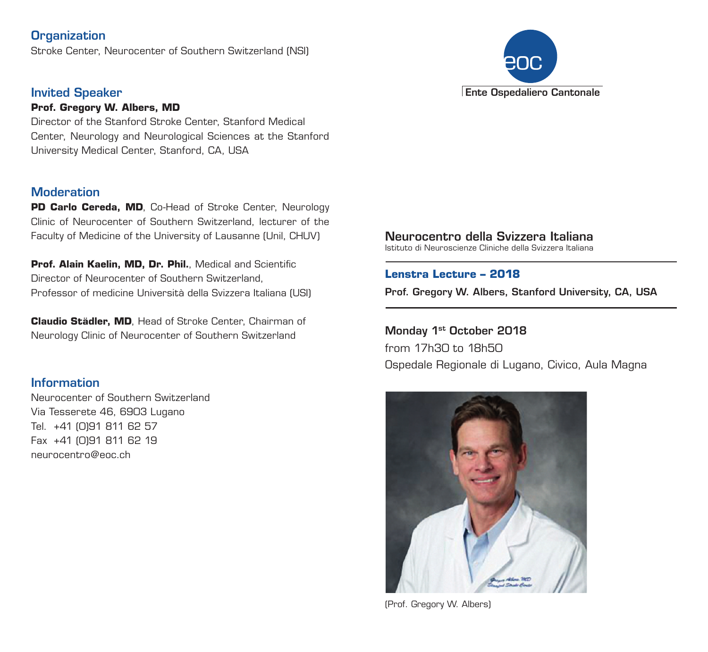# **Organization**

Stroke Center, Neurocenter of Southern Switzerland (NSI)

### Invited Speaker

#### **Prof. Gregory W. Albers, MD**

Director of the Stanford Stroke Center, Stanford Medical Center, Neurology and Neurological Sciences at the Stanford University Medical Center, Stanford, CA, USA

### **Moderation**

**PD Carlo Cereda, MD**, Co-Head of Stroke Center, Neurology Clinic of Neurocenter of Southern Switzerland, lecturer of the Faculty of Medicine of the University of Lausanne (Unil, CHUV)

**Prof. Alain Kaelin, MD, Dr. Phil.**, Medical and Scientific Director of Neurocenter of Southern Switzerland, Professor of medicine Università della Svizzera Italiana (USI)

**Claudio Städler, MD**, Head of Stroke Center, Chairman of Neurology Clinic of Neurocenter of Southern Switzerland

# **Information**

Neurocenter of Southern Switzerland Via Tesserete 46, 6903 Lugano Tel. +41 (0)91 811 62 57 Fax +41 (0)91 811 62 19 neurocentro@eoc.ch



Istituto di Neuroscienze Cliniche della Svizzera Italiana

### **Lenstra Lecture – 2018**

Prof. Gregory W. Albers, Stanford University, CA, USA

Monday 1st October 2018 from 17h30 to 18h50 Ospedale Regionale di Lugano, Civico, Aula Magna



(Prof. Gregory W. Albers)

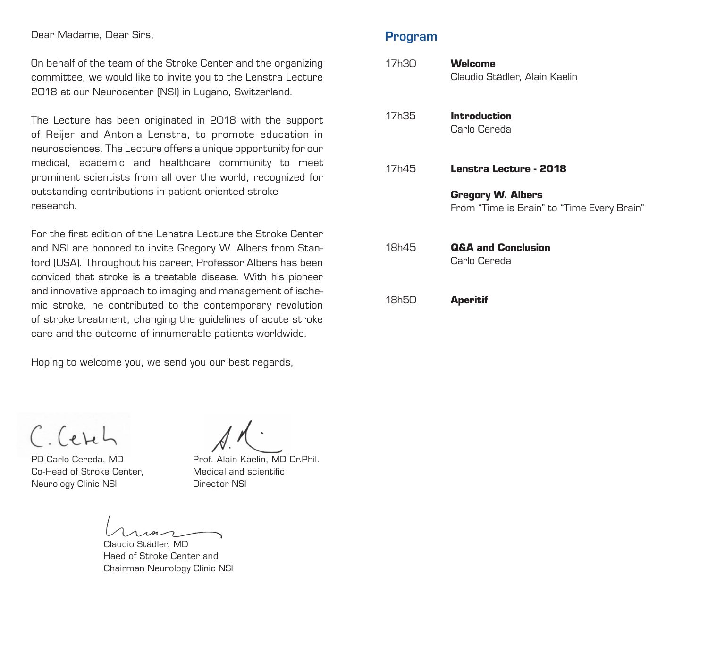Dear Madame, Dear Sirs,

On behalf of the team of the Stroke Center and the organizing committee, we would like to invite you to the Lenstra Lecture 2018 at our Neurocenter (NSI) in Lugano, Switzerland.

The Lecture has been originated in 2018 with the support of Reijer and Antonia Lenstra, to promote education in neurosciences. The Lecture offers a unique opportunity for our medical, academic and healthcare community to meet prominent scientists from all over the world, recognized for outstanding contributions in patient-oriented stroke research.

For the first edition of the Lenstra Lecture the Stroke Center and NSI are honored to invite Gregory W. Albers from Stanford (USA). Throughout his career, Professor Albers has been conviced that stroke is a treatable disease. With his pioneer and innovative approach to imaging and management of ischemic stroke, he contributed to the contemporary revolution of stroke treatment, changing the guidelines of acute stroke care and the outcome of innumerable patients worldwide.

Hoping to welcome you, we send you our best regards,

Program

| 17h30 | Welcome<br>Claudio Städler, Alain Kaelin                               |
|-------|------------------------------------------------------------------------|
| 17h35 | <b>Introduction</b><br>Carlo Cereda                                    |
| 17h45 | Lenstra Lecture - 2018                                                 |
|       | <b>Gregory W. Albers</b><br>From "Time is Brain" to "Time Every Brain" |
| 18h45 | Q&A and Conclusion<br>Carlo Cereda                                     |
| 18h50 | <b>Aperitif</b>                                                        |

C. Cetch

PD Carlo Cereda, MD Co-Head of Stroke Center, Neurology Clinic NSI

Prof. Alain Kaelin, MD Dr.Phil. Medical and scientific Director NSI

Claudio Städler, MD Haed of Stroke Center and Chairman Neurology Clinic NSI